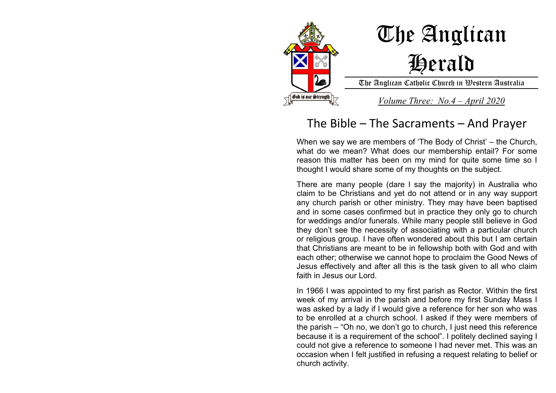

## The Anglican Herald

The Anglican Catholic Church in Western Australia

*Volume Three: No.4 – April 2020*

## The Bible – The Sacraments – And Prayer

When we say we are members of 'The Body of Christ' – the Church, what do we mean? What does our membership entail? For some reason this matter has been on my mind for quite some time so I thought I would share some of my thoughts on the subject.

There are many people (dare I say the majority) in Australia who claim to be Christians and yet do not attend or in any way support any church parish or other ministry. They may have been baptised and in some cases confirmed but in practice they only go to church for weddings and/or funerals. While many people still believe in God they don't see the necessity of associating with a particular church or religious group. I have often wondered about this but I am certain that Christians are meant to be in fellowship both with God and with each other; otherwise we cannot hope to proclaim the Good News of Jesus effectively and after all this is the task given to all who claim faith in Jesus our Lord.

In 1966 I was appointed to my first parish as Rector. Within the first week of my arrival in the parish and before my first Sunday Mass I was asked by a lady if I would give a reference for her son who was to be enrolled at a church school. I asked if they were members of the parish – "Oh no, we don't go to church, I just need this reference because it is a requirement of the school". I politely declined saying I could not give a reference to someone I had never met. This was an occasion when I felt justified in refusing a request relating to belief or church activity.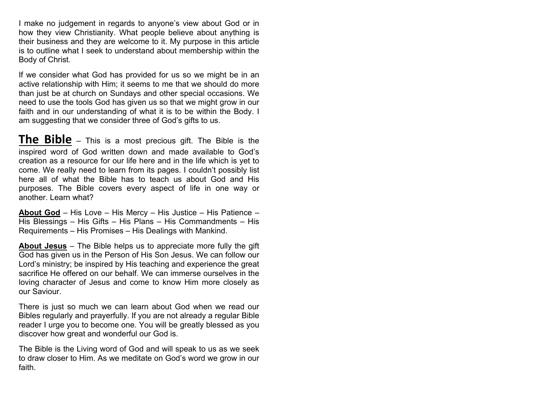I make no judgement in regards to anyone's view about God or in how they view Christianity. What people believe about anything is their business and they are welcome to it. My purpose in this article is to outline what I seek to understand about membership within the Body of Christ.

If we consider what God has provided for us so we might be in an active relationship with Him; it seems to me that we should do more than just be at church on Sundays and other special occasions. We need to use the tools God has given us so that we might grow in our faith and in our understanding of what it is to be within the Body. I am suggesting that we consider three of God's gifts to us.

**The Bible** – This is a most precious gift. The Bible is the inspired word of God written down and made available to God's creation as a resource for our life here and in the life which is yet to come. We really need to learn from its pages. I couldn't possibly list here all of what the Bible has to teach us about God and His purposes. The Bible covers every aspect of life in one way or another. Learn what?

**About God** – His Love – His Mercy – His Justice – His Patience – His Blessings – His Gifts – His Plans – His Commandments – His Requirements – His Promises – His Dealings with Mankind.

**About Jesus** – The Bible helps us to appreciate more fully the gift God has given us in the Person of His Son Jesus. We can follow our Lord's ministry; be inspired by His teaching and experience the great sacrifice He offered on our behalf. We can immerse ourselves in the loving character of Jesus and come to know Him more closely as our Saviour.

There is just so much we can learn about God when we read our Bibles regularly and prayerfully. If you are not already a regular Bible reader I urge you to become one. You will be greatly blessed as you discover how great and wonderful our God is.

The Bible is the Living word of God and will speak to us as we seek to draw closer to Him. As we meditate on God's word we grow in our faith.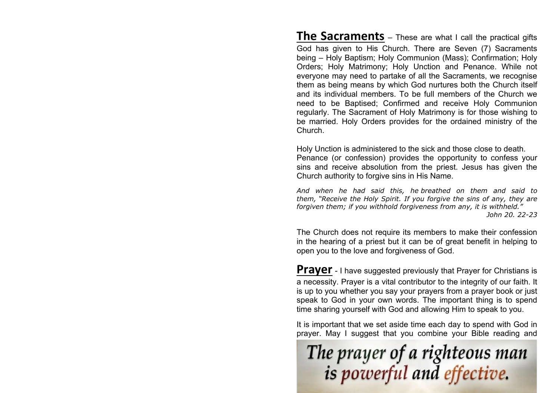**The Sacraments** – These are what I call the practical gifts God has given to His Church. There are Seven (7) Sacraments being – Holy Baptism; Holy Communion (Mass); Confirmation; Holy Orders; Holy Matrimony; Holy Unction and Penance. While not everyone may need to partake of all the Sacraments, we recognise them as being means by which God nurtures both the Church itself and its individual members. To be full members of the Church we need to be Baptised; Confirmed and receive Holy Communion regularly. The Sacrament of Holy Matrimony is for those wishing to be married. Holy Orders provides for the ordained ministry of the Church.

Holy Unction is administered to the sick and those close to death. Penance (or confession) provides the opportunity to confess your sins and receive absolution from the priest. Jesus has given the Church authority to forgive sins in His Name.

*And when he had said this, he breathed on them and said to them, "Receive the Holy Spirit. If you forgive the sins of any, they are forgiven them; if you withhold forgiveness from any, it is withheld." John 20. 22-23*

The Church does not require its members to make their confession in the hearing of a priest but it can be of great benefit in helping to open you to the love and forgiveness of God.

**Prayer** - I have suggested previously that Prayer for Christians is a necessity. Prayer is a vital contributor to the integrity of our faith. It is up to you whether you say your prayers from a prayer book or just speak to God in your own words. The important thing is to spend time sharing yourself with God and allowing Him to speak to you.

It is important that we set aside time each day to spend with God in prayer. May I suggest that you combine your Bible reading and

The prayer of a righteous man<br>is powerful and effective.